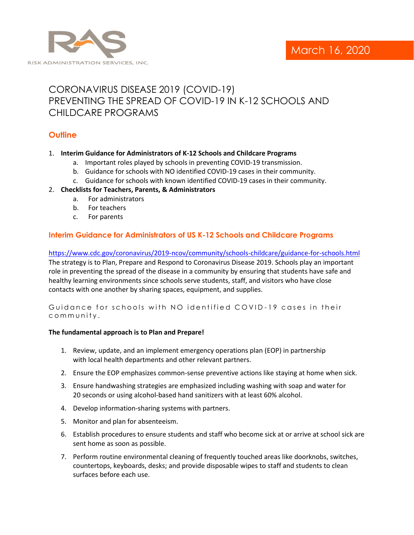

# CORONAVIRUS DISEASE 2019 (COVID-19) PREVENTING THE SPREAD OF COVID-19 IN K-12 SCHOOLS AND CHILDCARE PROGRAMS

# **Outline**

## 1. **Interim Guidance for Administrators of K-12 Schools and Childcare Programs**

- a. Important roles played by schools in preventing COVID-19 transmission.
- b. Guidance for schools with NO identified COVID-19 cases in their community.
- c. Guidance for schools with known identified COVID-19 cases in their community.

## 2. **Checklists for Teachers, Parents, & Administrators**

- a. For administrators
- b. For teachers
- c. For parents

# **Interim Guidance for Administrators of US K-12 Schools and Childcare Programs**

<https://www.cdc.gov/coronavirus/2019-ncov/community/schools-childcare/guidance-for-schools.html> The strategy is to Plan, Prepare and Respond to Coronavirus Disease 2019. Schools play an important role in preventing the spread of the disease in a community by ensuring that students have safe and healthy learning environments since schools serve students, staff, and visitors who have close contacts with one another by sharing spaces, equipment, and supplies.

Guidance for schools with NO identified COVID-19 cases in their community.

#### **The fundamental approach is to Plan and Prepare!**

- 1. Review, update, and an implement emergency operations plan (EOP) in partnership with local health departments and other relevant partners.
- 2. Ensure the EOP emphasizes common-sense preventive actions like staying at home when sick.
- 3. Ensure handwashing strategies are emphasized including washing with soap and water for 20 seconds or using alcohol-based hand sanitizers with at least 60% alcohol.
- 4. Develop information-sharing systems with partners.
- 5. Monitor and plan for absenteeism.
- 6. Establish procedures to ensure students and staff who become sick at or arrive at school sick are sent home as soon as possible.
- 7. Perform routine environmental cleaning of frequently touched areas like doorknobs, switches, countertops, keyboards, desks; and provide disposable wipes to staff and students to clean surfaces before each use.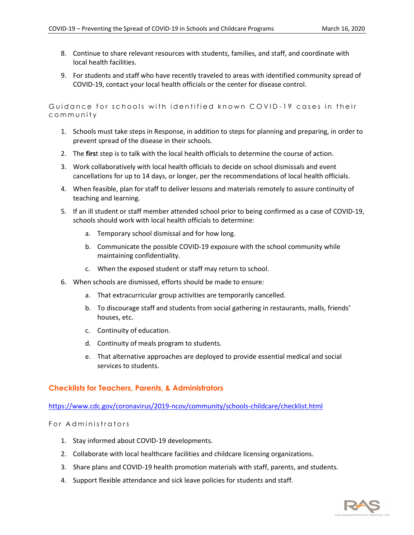- 8. Continue to share relevant resources with students, families, and staff, and coordinate with local health facilities.
- 9. For students and staff who have recently traveled to areas with identified community spread of COVID-19, contact your local health officials or the center for disease control.

Guidance for schools with identified known COVID-19 cases in their community

- 1. Schools must take steps in Response, in addition to steps for planning and preparing, in order to prevent spread of the disease in their schools.
- 2. The **firs**t step is to talk with the local health officials to determine the course of action.
- 3. Work collaboratively with local health officials to decide on school dismissals and event cancellations for up to 14 days, or longer, per the recommendations of local health officials.
- 4. When feasible, plan for staff to deliver lessons and materials remotely to assure continuity of teaching and learning.
- 5. If an ill student or staff member attended school prior to being confirmed as a case of COVID-19, schools should work with local health officials to determine:
	- a. Temporary school dismissal and for how long.
	- b. Communicate the possible COVID-19 exposure with the school community while maintaining confidentiality.
	- c. When the exposed student or staff may return to school.
- 6. When schools are dismissed, efforts should be made to ensure:
	- a. That extracurricular group activities are temporarily cancelled.
	- b. To discourage staff and students from social gathering in restaurants, malls, friends' houses, etc.
	- c. Continuity of education.
	- d. Continuity of meals program to students.
	- e. That alternative approaches are deployed to provide essential medical and social services to students.

## **Checklists for Teachers, Parents, & Administrators**

<https://www.cdc.gov/coronavirus/2019-ncov/community/schools-childcare/checklist.html>

#### For Administrators

- 1. Stay informed about COVID-19 developments.
- 2. Collaborate with local healthcare facilities and childcare licensing organizations.
- 3. Share plans and COVID-19 health promotion materials with staff, parents, and students.
- 4. Support flexible attendance and sick leave policies for students and staff.